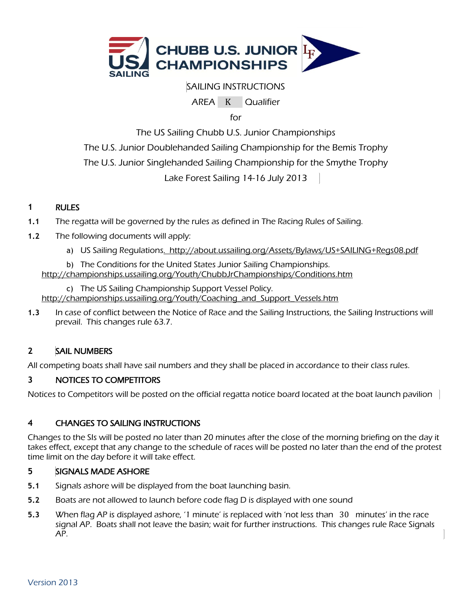

# SAILING INSTRUCTIONS

AREA K Qualifier

for

The US Sailing Chubb U.S. Junior Championships

The U.S. Junior Doublehanded Sailing Championship for the Bemis Trophy

The U.S. Junior Singlehanded Sailing Championship for the Smythe Trophy

Lake Forest Sailing 14-16 July 2013

# **1** RULES

- **1.1** The regatta will be governed by the rules as defined in The Racing Rules of Sailing.
- **1.2** The following documents will apply:
	- a) US Sailing Regulation[s. http://about.ussailing.org/Assets/Bylaws/US+SAILING+Regs08.pdf](file:///C:/Users/Jstrassman/Documents/US%20SAILING%20SBS/2010/.%20%20http:/about.ussailing.org/Assets/Bylaws/US+SAILING+Regs08.pdf)

b) The Conditions for the United States Junior Sailing Championships. <http://championships.ussailing.org/Youth/ChubbJrChampionships/Conditions.htm>

c) The US Sailing Championship Support Vessel Policy. [http://championships.ussailing.org/Youth/Coaching\\_and\\_Support\\_Vessels.htm](http://championships.ussailing.org/Youth/Coaching_and_Support_Vessels.htm)

**1.3** In case of conflict between the Notice of Race and the Sailing Instructions, the Sailing Instructions will prevail. This changes rule 63.7.

# **2** SAIL NUMBERS

All competing boats shall have sail numbers and they shall be placed in accordance to their class rules.

### **3** NOTICES TO COMPETITORS

Notices to Competitors will be posted on the official regatta notice board located at the boat launch pavilion

# **4** CHANGES TO SAILING INSTRUCTIONS

Changes to the SIs will be posted no later than 20 minutes after the close of the morning briefing on the day it takes effect, except that any change to the schedule of races will be posted no later than the end of the protest time limit on the day before it will take effect.

### **5** SIGNALS MADE ASHORE

- **5.1** Signals ashore will be displayed from the boat launching basin.
- **5.2** Boats are not allowed to launch before code flag D is displayed with one sound
- **5.3** When flag AP is displayed ashore, '1 minute' is replaced with 'not less than 30 minutes' in the race signal AP. Boats shall not leave the basin; wait for further instructions. This changes rule Race Signals AP.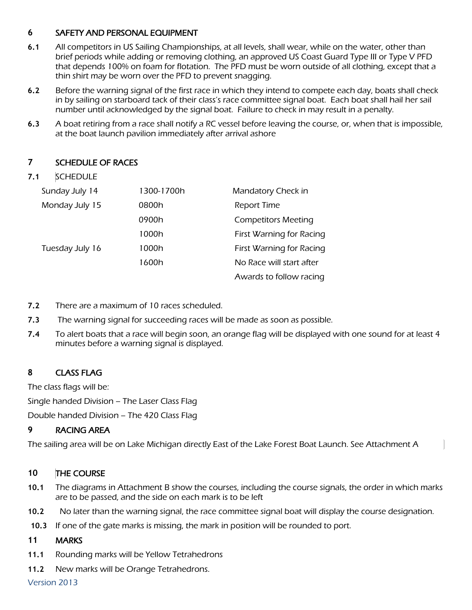### **6** SAFETY AND PERSONAL EQUIPMENT

- **6.1** All competitors in US Sailing Championships, at all levels, shall wear, while on the water, other than brief periods while adding or removing clothing, an approved US Coast Guard Type III or Type V PFD that depends 100% on foam for flotation. The PFD must be worn outside of all clothing, except that a thin shirt may be worn over the PFD to prevent snagging.
- **6.2** Before the warning signal of the first race in which they intend to compete each day, boats shall check in by sailing on starboard tack of their class's race committee signal boat. Each boat shall hail her sail number until acknowledged by the signal boat. Failure to check in may result in a penalty.
- **6.3** A boat retiring from a race shall notify a RC vessel before leaving the course, or, when that is impossible, at the boat launch pavilion immediately after arrival ashore

### **7** SCHEDULE OF RACES

### **7.1** SCHEDULE

| Sunday July 14  | 1300-1700h | Mandatory Check in         |
|-----------------|------------|----------------------------|
| Monday July 15  | 0800h      | <b>Report Time</b>         |
|                 | 0900h      | <b>Competitors Meeting</b> |
|                 | 1000h      | First Warning for Racing   |
| Tuesday July 16 | 1000h      | First Warning for Racing   |
|                 | 1600h      | No Race will start after   |
|                 |            | Awards to follow racing    |

- **7.2** There are a maximum of 10 races scheduled.
- **7.3** The warning signal for succeeding races will be made as soon as possible.
- **7.4** To alert boats that a race will begin soon, an orange flag will be displayed with one sound for at least 4 minutes before a warning signal is displayed.

# **8** CLASS FLAG

The class flags will be: Single handed Division – The Laser Class Flag Double handed Division – The 420 Class Flag

### **9** RACING AREA

The sailing area will be on Lake Michigan directly East of the Lake Forest Boat Launch. See Attachment A

### **10** THE COURSE

- **10.1** The diagrams in Attachment B show the courses, including the course signals, the order in which marks are to be passed, and the side on each mark is to be left
- **10.2** No later than the warning signal, the race committee signal boat will display the course designation.
- **10.3** If one of the gate marks is missing, the mark in position will be rounded to port.

### **11** MARKS

- **11.1** Rounding marks will be Yellow Tetrahedrons
- **11.2** New marks will be Orange Tetrahedrons.

Version 2013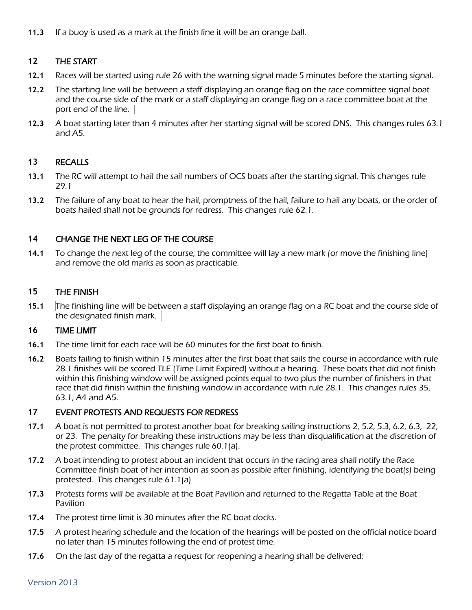**11.3** If a buoy is used as a mark at the finish line it will be an orange ball.

### **12** THE START

- **12.1** Races will be started using rule 26 with the warning signal made 5 minutes before the starting signal.
- **12.2** The starting line will be between a staff displaying an orange flag on the race committee signal boat and the course side of the mark or a staff displaying an orange flag on a race committee boat at the port end of the line.
- **12.3** A boat starting later than 4 minutes after her starting signal will be scored DNS. This changes rules 63.1 and A5.

#### **13** RECALLS

- **13.1** The RC will attempt to hail the sail numbers of OCS boats after the starting signal. This changes rule 29.1
- **13.2** The failure of any boat to hear the hail, promptness of the hail, failure to hail any boats, or the order of boats hailed shall not be grounds for redress. This changes rule 62.1.

#### **14** CHANGE THE NEXT LEG OF THE COURSE

**14.1** To change the next leg of the course, the committee will lay a new mark (or move the finishing line) and remove the old marks as soon as practicable.

#### **15** THE FINISH

**15.1** The finishing line will be between a staff displaying an orange flag on a RC boat and the course side of the designated finish mark.

#### **16** TIME LIMIT

- **16.1** The time limit for each race will be 60 minutes for the first boat to finish.
- **16.2** Boats failing to finish within 15 minutes after the first boat that sails the course in accordance with rule 28.1 finishes will be scored TLE (Time Limit Expired) without a hearing. These boats that did not finish within this finishing window will be assigned points equal to two plus the number of finishers in that race that did finish within the finishing window in accordance with rule 28.1. This changes rules 35, 63.1, A4 and A5.

#### **17** EVENT PROTESTS AND REQUESTS FOR REDRESS

- **17.1** A boat is not permitted to protest another boat for breaking sailing instructions 2, 5.2, 5.3, 6.2, 6.3, 22, or 23. The penalty for breaking these instructions may be less than disqualification at the discretion of the protest committee. This changes rule 60.1(a).
- **17.2** A boat intending to protest about an incident that occurs in the racing area shall notify the Race Committee finish boat of her intention as soon as possible after finishing, identifying the boat(s) being protested. This changes rule 61.1(a)
- **17.3** Protests forms will be available at the Boat Pavilion and returned to the Regatta Table at the Boat Pavilion
- **17.4** The protest time limit is 30 minutes after the RC boat docks.
- **17.5** A protest hearing schedule and the location of the hearings will be posted on the official notice board no later than 15 minutes following the end of protest time.
- **17.6** On the last day of the regatta a request for reopening a hearing shall be delivered:

Version 2013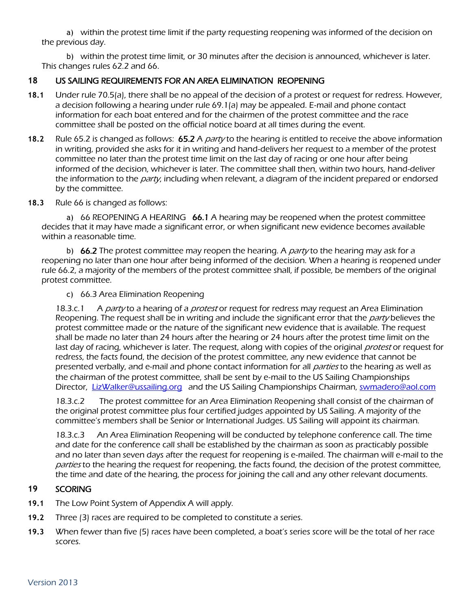a) within the protest time limit if the party requesting reopening was informed of the decision on the previous day.

b) within the protest time limit, or 30 minutes after the decision is announced, whichever is later. This changes rules 62.2 and 66.

## **18** US SAILING REQUIREMENTS FOR AN AREA ELIMINATION REOPENING

- **18.1** Under rule 70.5(a), there shall be no appeal of the decision of a protest or request for redress. However, a decision following a hearing under rule 69.1(a) may be appealed. E‐mail and phone contact information for each boat entered and for the chairmen of the protest committee and the race committee shall be posted on the official notice board at all times during the event.
- **18.2** Rule 65.2 is changed as follows: 65.2 A party to the hearing is entitled to receive the above information in writing, provided she asks for it in writing and hand‐delivers her request to a member of the protest committee no later than the protest time limit on the last day of racing or one hour after being informed of the decision, whichever is later. The committee shall then, within two hours, hand‐deliver the information to the *party*, including when relevant, a diagram of the incident prepared or endorsed by the committee.
- **18.3** Rule 66 is changed as follows:

a) 66 REOPENING A HEARING  $\,$  66.1 A hearing may be reopened when the protest committee decides that it may have made a significant error, or when significant new evidence becomes available within a reasonable time.

b) 66.2 The protest committee may reopen the hearing. A *party* to the hearing may ask for a reopening no later than one hour after being informed of the decision. When a hearing is reopened under rule 66.2, a majority of the members of the protest committee shall, if possible, be members of the original protest committee.

c) 66.3 Area Elimination Reopening

18.3.c.1 A *party* to a hearing of a *protest* or request for redress may request an Area Elimination Reopening. The request shall be in writing and include the significant error that the *party* believes the protest committee made or the nature of the significant new evidence that is available. The request shall be made no later than 24 hours after the hearing or 24 hours after the protest time limit on the last day of racing, whichever is later. The request, along with copies of the original *protest* or request for redress, the facts found, the decision of the protest committee, any new evidence that cannot be presented verbally, and e-mail and phone contact information for all *parties* to the hearing as well as the chairman of the protest committee, shall be sent by e‐mail to the US Sailing Championships Director, [LizWalker@ussailing.org](mailto:LizWalker@ussailing.org) and the US Sailing Championships Chairman, [swmadero@aol.com](mailto:swmadero@aol.com)

18.3.c.2 The protest committee for an Area Elimination Reopening shall consist of the chairman of the original protest committee plus four certified judges appointed by US Sailing. A majority of the committee's members shall be Senior or International Judges. US Sailing will appoint its chairman.

18.3.c.3 An Area Elimination Reopening will be conducted by telephone conference call. The time and date for the conference call shall be established by the chairman as soon as practicably possible and no later than seven days after the request for reopening is e‐mailed. The chairman will e‐mail to the parties to the hearing the request for reopening, the facts found, the decision of the protest committee, the time and date of the hearing, the process for joining the call and any other relevant documents.

### **19** SCORING

- **19.1** The Low Point System of Appendix A will apply.
- **19.2** Three (3) races are required to be completed to constitute a series.
- **19.3** When fewer than five (5) races have been completed, a boat's series score will be the total of her race scores.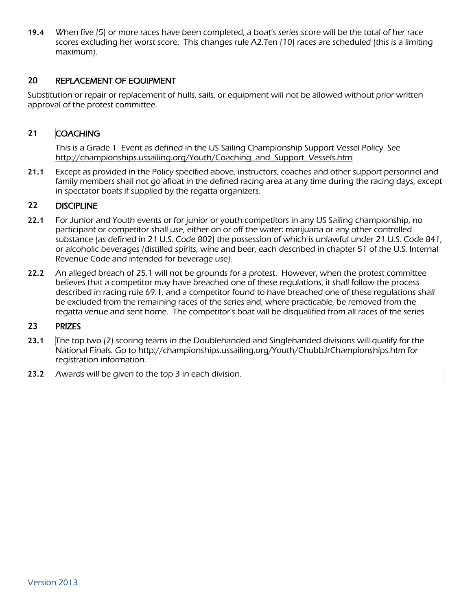**19.4** When five (5) or more races have been completed, a boat's series score will be the total of her race scores excluding her worst score. This changes rule A2.Ten (10) races are scheduled (this is a limiting maximum).

### **20** REPLACEMENT OF EQUIPMENT

Substitution or repair or replacement of hulls, sails, or equipment will not be allowed without prior written approval of the protest committee.

### **21** COACHING

This is a Grade 1 Event as defined in the US Sailing Championship Support Vessel Policy. See [http://championships.ussailing.org/Youth/Coaching\\_and\\_Support\\_Vessels.htm](http://championships.ussailing.org/Youth/Coaching_and_Support_Vessels.htm)

**21.1** Except as provided in the Policy specified above, instructors, coaches and other support personnel and family members shall not go afloat in the defined racing area at any time during the racing days, except in spectator boats if supplied by the regatta organizers.

#### **22** DISCIPLINE

- **22.1** For Junior and Youth events or for junior or youth competitors in any US Sailing championship, no participant or competitor shall use, either on or off the water: marijuana or any other controlled substance (as defined in 21 U.S. Code 802) the possession of which is unlawful under 21 U.S. Code 841, or alcoholic beverages (distilled spirits, wine and beer, each described in chapter 51 of the U.S. Internal Revenue Code and intended for beverage use).
- **22.2** An alleged breach of 25.1 will not be grounds for a protest. However, when the protest committee believes that a competitor may have breached one of these regulations, it shall follow the process described in racing rule 69.1, and a competitor found to have breached one of these regulations shall be excluded from the remaining races of the series and, where practicable, be removed from the regatta venue and sent home. The competitor's boat will be disqualified from all races of the series

#### **23** PRIZES

- **23.1** The top two (2) scoring teams in the Doublehanded and Singlehanded divisions will qualify for the National Finals. Go to<http://championships.ussailing.org/Youth/ChubbJrChampionships.htm> for registration information.
- **23.2** Awards will be given to the top 3 in each division.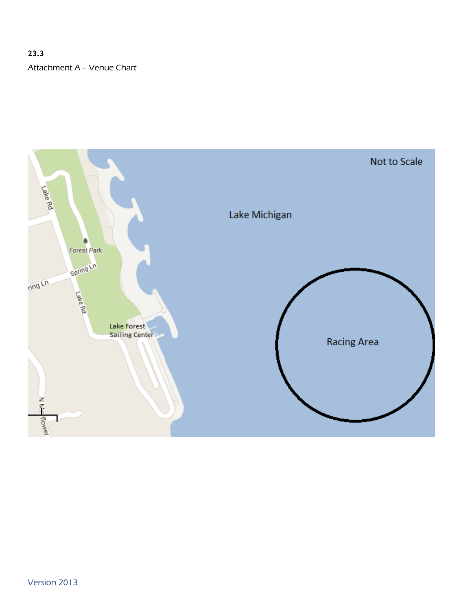# **23.3** Attachment A - Venue Chart